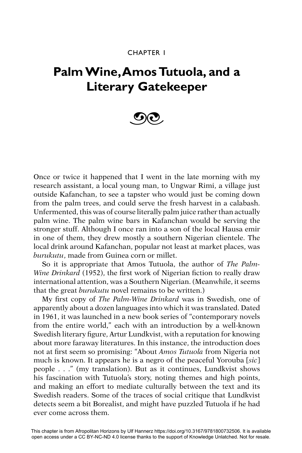## CHAPTER 1

## **Palm Wine, Amos Tutuola, and a Literary Gatekeeper**



Once or twice it happened that I went in the late morning with my research assistant, a local young man, to Ungwar Rimi, a village just outside Kafanchan, to see a tapster who would just be coming down from the palm trees, and could serve the fresh harvest in a calabash. Unfermented, this was of course literally palm juice rather than actually palm wine. The palm wine bars in Kafanchan would be serving the stronger stuff. Although I once ran into a son of the local Hausa emir in one of them, they drew mostly a southern Nigerian clientele. The local drink around Kafanchan, popular not least at market places, was *burukutu*, made from Guinea corn or millet.

So it is appropriate that Amos Tutuola, the author of *The Palm-Wine Drinkard* (1952), the first work of Nigerian fiction to really draw international attention, was a Southern Nigerian. (Meanwhile, it seems that the great *burukutu* novel remains to be written.)

My first copy of *The Palm-Wine Drinkard* was in Swedish, one of apparently about a dozen languages into which it was translated. Dated in 1961, it was launched in a new book series of "contemporary novels from the entire world," each with an introduction by a well-known Swedish literary figure, Artur Lundkvist, with a reputation for knowing about more faraway literatures. In this instance, the introduction does not at first seem so promising: "About *Amos Tutuola* from Nigeria not much is known. It appears he is a negro of the peaceful Yorouba [*sic*] people . . ." (my translation). But as it continues, Lundkvist shows his fascination with Tutuola's story, noting themes and high points, and making an effort to mediate culturally between the text and its Swedish readers. Some of the traces of social critique that Lundkvist detects seem a bit Borealist, and might have puzzled Tutuola if he had ever come across them.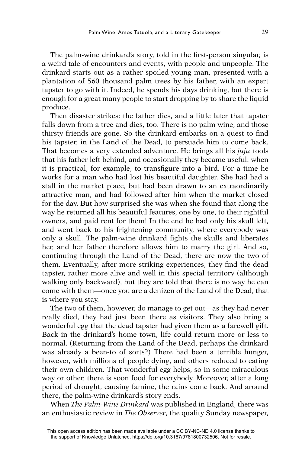The palm-wine drinkard's story, told in the first-person singular, is a weird tale of encounters and events, with people and unpeople. The drinkard starts out as a rather spoiled young man, presented with a plantation of 560 thousand palm trees by his father, with an expert tapster to go with it. Indeed, he spends his days drinking, but there is enough for a great many people to start dropping by to share the liquid produce.

Then disaster strikes: the father dies, and a little later that tapster falls down from a tree and dies, too. There is no palm wine, and those thirsty friends are gone. So the drinkard embarks on a quest to find his tapster, in the Land of the Dead, to persuade him to come back. That becomes a very extended adventure. He brings all his *juju* tools that his father left behind, and occasionally they became useful: when it is practical, for example, to transfigure into a bird. For a time he works for a man who had lost his beautiful daughter. She had had a stall in the market place, but had been drawn to an extraordinarily attractive man, and had followed after him when the market closed for the day. But how surprised she was when she found that along the way he returned all his beautiful features, one by one, to their rightful owners, and paid rent for them! In the end he had only his skull left, and went back to his frightening community, where everybody was only a skull. The palm-wine drinkard fights the skulls and liberates her, and her father therefore allows him to marry the girl. And so, continuing through the Land of the Dead, there are now the two of them. Eventually, after more striking experiences, they find the dead tapster, rather more alive and well in this special territory (although walking only backward), but they are told that there is no way he can come with them—once you are a denizen of the Land of the Dead, that is where you stay.

The two of them, however, do manage to get out—as they had never really died, they had just been there as visitors. They also bring a wonderful egg that the dead tapster had given them as a farewell gift. Back in the drinkard's home town, life could return more or less to normal. (Returning from the Land of the Dead, perhaps the drinkard was already a been-to of sorts?) There had been a terrible hunger, however, with millions of people dying, and others reduced to eating their own children. That wonderful egg helps, so in some miraculous way or other, there is soon food for everybody. Moreover, after a long period of drought, causing famine, the rains come back. And around there, the palm-wine drinkard's story ends.

When *The Palm-Wine Drinkard* was published in England, there was an enthusiastic review in *The Observer*, the quality Sunday newspaper,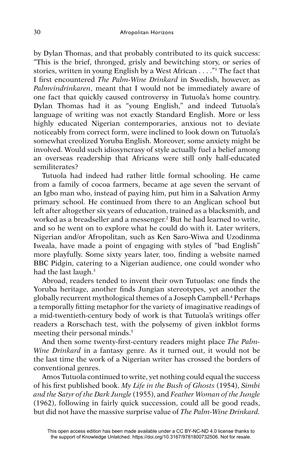by Dylan Thomas, and that probably contributed to its quick success: "This is the brief, thronged, grisly and bewitching story, or series of stories, written in young English by a West African . . . ."1 The fact that I first encountered *The Palm-Wine Drinkard* in Swedish, however, as *Palmvindrinkaren*, meant that I would not be immediately aware of one fact that quickly caused controversy in Tutuola's home country. Dylan Thomas had it as "young English," and indeed Tutuola's language of writing was not exactly Standard English. More or less highly educated Nigerian contemporaries, anxious not to deviate noticeably from correct form, were inclined to look down on Tutuola's somewhat creolized Yoruba English. Moreover, some anxiety might be involved. Would such idiosyncrasy of style actually fuel a belief among an overseas readership that Africans were still only half-educated semiliterates?

Tutuola had indeed had rather little formal schooling. He came from a family of cocoa farmers, became at age seven the servant of an Igbo man who, instead of paying him, put him in a Salvation Army primary school. He continued from there to an Anglican school but left after altogether six years of education, trained as a blacksmith, and worked as a breadseller and a messenger.<sup>2</sup> But he had learned to write, and so he went on to explore what he could do with it. Later writers, Nigerian and/or Afropolitan, such as Ken Saro-Wiwa and Uzodinma Iweala, have made a point of engaging with styles of "bad English" more playfully. Some sixty years later, too, finding a website named BBC Pidgin, catering to a Nigerian audience, one could wonder who had the last laugh.<sup>3</sup>

Abroad, readers tended to invent their own Tutuolas: one finds the Yoruba heritage, another finds Jungian stereotypes, yet another the globally recurrent mythological themes of a Joseph Campbell.4 Perhaps a temporally fitting metaphor for the variety of imaginative readings of a mid-twentieth-century body of work is that Tutuola's writings offer readers a Rorschach test, with the polysemy of given inkblot forms meeting their personal minds.<sup>5</sup>

And then some twenty-first-century readers might place *The Palm-Wine Drinkard* in a fantasy genre. As it turned out, it would not be the last time the work of a Nigerian writer has crossed the borders of conventional genres.

Amos Tutuola continued to write, yet nothing could equal the success of his fi rst published book. *My Life in the Bush of Ghosts* (1954), *Simbi and the Satyr of the Dark Jungle* (1955), and *Feather Woman of the Jungle*  (1962), following in fairly quick succession, could all be good reads, but did not have the massive surprise value of *The Palm-Wine Drinkard.*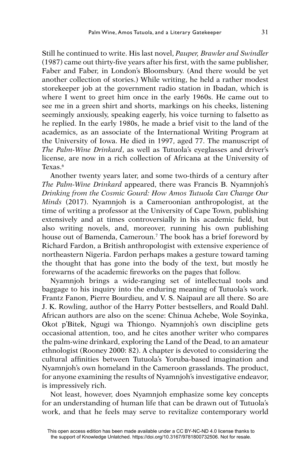Still he continued to write. His last novel, *Pauper, Brawler and Swindler*   $(1987)$  came out thirty-five years after his first, with the same publisher, Faber and Faber, in London's Bloomsbury. (And there would be yet another collection of stories.) While writing, he held a rather modest storekeeper job at the government radio station in Ibadan, which is where I went to greet him once in the early 1960s. He came out to see me in a green shirt and shorts, markings on his cheeks, listening seemingly anxiously, speaking eagerly, his voice turning to falsetto as he replied. In the early 1980s, he made a brief visit to the land of the academics, as an associate of the International Writing Program at the University of Iowa. He died in 1997, aged 77. The manuscript of *The Palm-Wine Drinkard*, as well as Tutuola's eyeglasses and driver's license, are now in a rich collection of Africana at the University of Texas.6

Another twenty years later, and some two-thirds of a century after *The Palm-Wine Drinkard* appeared, there was Francis B. Nyamnjoh's *Drinking from the Cosmic Gourd: How Amos Tutuola Can Change Our Minds* (2017). Nyamnjoh is a Cameroonian anthropologist, at the time of writing a professor at the University of Cape Town, publishing extensively and at times controversially in his academic field, but also writing novels, and, moreover, running his own publishing house out of Bamenda, Cameroun.7 The book has a brief foreword by Richard Fardon, a British anthropologist with extensive experience of northeastern Nigeria. Fardon perhaps makes a gesture toward taming the thought that has gone into the body of the text, but mostly he forewarns of the academic fireworks on the pages that follow.

Nyamnjoh brings a wide-ranging set of intellectual tools and baggage to his inquiry into the enduring meaning of Tutuola's work. Frantz Fanon, Pierre Bourdieu, and V. S. Naipaul are all there. So are J. K. Rowling, author of the Harry Potter bestsellers, and Roald Dahl. African authors are also on the scene: Chinua Achebe, Wole Soyinka, Okot p'Bitek, Ngugi wa Thiongo. Nyamnjoh's own discipline gets occasional attention, too, and he cites another writer who compares the palm-wine drinkard, exploring the Land of the Dead, to an amateur ethnologist (Rooney 2000: 82). A chapter is devoted to considering the cultural affinities between Tutuola's Yoruba-based imagination and Nyamnjoh's own homeland in the Cameroon grasslands. The product, for anyone examining the results of Nyamnjoh's investigative endeavor, is impressively rich.

Not least, however, does Nyamnjoh emphasize some key concepts for an understanding of human life that can be drawn out of Tutuola's work, and that he feels may serve to revitalize contemporary world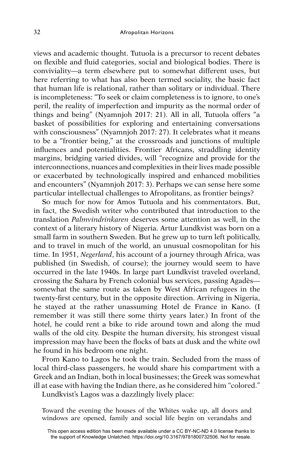views and academic thought. Tutuola is a precursor to recent debates on flexible and fluid categories, social and biological bodies. There is conviviality—a term elsewhere put to somewhat different uses, but here referring to what has also been termed sociality, the basic fact that human life is relational, rather than solitary or individual. There is incompleteness: "To seek or claim completeness is to ignore, to one's peril, the reality of imperfection and impurity as the normal order of things and being" (Nyamnjoh 2017: 21). All in all, Tutuola offers "a basket of possibilities for exploring and entertaining conversations with consciousness" (Nyamnjoh 2017: 27). It celebrates what it means to be a "frontier being," at the crossroads and junctions of multiple influences and potentialities. Frontier Africans, straddling identity margins, bridging varied divides, will "recognize and provide for the interconnections, nuances and complexities in their lives made possible or exacerbated by technologically inspired and enhanced mobilities and encounters" (Nyamnjoh 2017: 3). Perhaps we can sense here some particular intellectual challenges to Afropolitans, as frontier beings?

So much for now for Amos Tutuola and his commentators. But, in fact, the Swedish writer who contributed that introduction to the translation *Palmvindrinkaren* deserves some attention as well, in the context of a literary history of Nigeria. Artur Lundkvist was born on a small farm in southern Sweden. But he grew up to turn left politically, and to travel in much of the world, an unusual cosmopolitan for his time. In 1951, *Negerland*, his account of a journey through Africa, was published (in Swedish, of course); the journey would seem to have occurred in the late 1940s. In large part Lundkvist traveled overland, crossing the Sahara by French colonial bus services, passing Agadès somewhat the same route as taken by West African refugees in the twenty-first century, but in the opposite direction. Arriving in Nigeria, he stayed at the rather unassuming Hotel de France in Kano. (I remember it was still there some thirty years later.) In front of the hotel, he could rent a bike to ride around town and along the mud walls of the old city. Despite the human diversity, his strongest visual impression may have been the flocks of bats at dusk and the white owl he found in his bedroom one night.

From Kano to Lagos he took the train. Secluded from the mass of local third-class passengers, he would share his compartment with a Greek and an Indian, both in local businesses; the Greek was somewhat ill at ease with having the Indian there, as he considered him "colored."

Lundkvist's Lagos was a dazzlingly lively place:

Toward the evening the houses of the Whites wake up, all doors and windows are opened, family and social life begin on verandahs and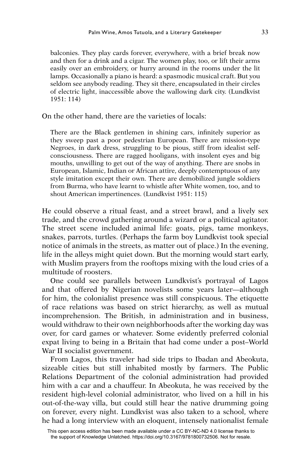balconies. They play cards forever, everywhere, with a brief break now and then for a drink and a cigar. The women play, too, or lift their arms easily over an embroidery, or hurry around in the rooms under the lit lamps. Occasionally a piano is heard: a spasmodic musical craft. But you seldom see anybody reading. They sit there, encapsulated in their circles of electric light, inaccessible above the wallowing dark city. (Lundkvist 1951: 114)

On the other hand, there are the varieties of locals:

There are the Black gentlemen in shining cars, infinitely superior as they sweep past a poor pedestrian European. There are mission-type Negroes, in dark dress, struggling to be pious, stiff from idealist selfconsciousness. There are ragged hooligans, with insolent eyes and big mouths, unwilling to get out of the way of anything. There are snobs in European, Islamic, Indian or African attire, deeply contemptuous of any style imitation except their own. There are demobilized jungle soldiers from Burma, who have learnt to whistle after White women, too, and to shout American impertinences. (Lundkvist 1951: 115)

He could observe a ritual feast, and a street brawl, and a lively sex trade, and the crowd gathering around a wizard or a political agitator. The street scene included animal life: goats, pigs, tame monkeys, snakes, parrots, turtles. (Perhaps the farm boy Lundkvist took special notice of animals in the streets, as matter out of place.) In the evening, life in the alleys might quiet down. But the morning would start early, with Muslim prayers from the rooftops mixing with the loud cries of a multitude of roosters.

One could see parallels between Lundkvist's portrayal of Lagos and that offered by Nigerian novelists some years later—although for him, the colonialist presence was still conspicuous. The etiquette of race relations was based on strict hierarchy, as well as mutual incomprehension. The British, in administration and in business, would withdraw to their own neighborhoods after the working day was over, for card games or whatever. Some evidently preferred colonial expat living to being in a Britain that had come under a post–World War II socialist government.

From Lagos, this traveler had side trips to Ibadan and Abeokuta, sizeable cities but still inhabited mostly by farmers. The Public Relations Department of the colonial administration had provided him with a car and a chauffeur. In Abeokuta, he was received by the resident high-level colonial administrator, who lived on a hill in his out-of-the-way villa, but could still hear the native drumming going on forever, every night. Lundkvist was also taken to a school, where he had a long interview with an eloquent, intensely nationalist female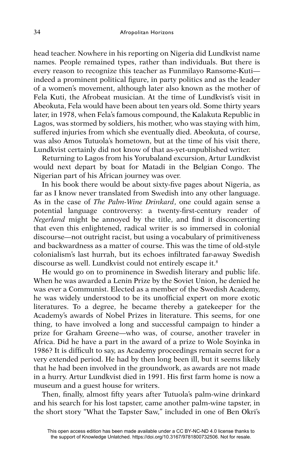head teacher. Nowhere in his reporting on Nigeria did Lundkvist name names. People remained types, rather than individuals. But there is every reason to recognize this teacher as Funmilayo Ransome-Kuti indeed a prominent political figure, in party politics and as the leader of a women's movement, although later also known as the mother of Fela Kuti, the Afrobeat musician. At the time of Lundkvist's visit in Abeokuta, Fela would have been about ten years old. Some thirty years later, in 1978, when Fela's famous compound, the Kalakuta Republic in Lagos, was stormed by soldiers, his mother, who was staying with him, suffered injuries from which she eventually died. Abeokuta, of course, was also Amos Tutuola's hometown, but at the time of his visit there, Lundkvist certainly did not know of that as-yet-unpublished writer.

Returning to Lagos from his Yorubaland excursion, Artur Lundkvist would next depart by boat for Matadi in the Belgian Congo. The Nigerian part of his African journey was over.

In his book there would be about sixty-five pages about Nigeria, as far as I know never translated from Swedish into any other language. As in the case of *The Palm-Wine Drinkard*, one could again sense a potential language controversy: a twenty-first-century reader of *Negerland* might be annoyed by the title, and find it disconcerting that even this enlightened, radical writer is so immersed in colonial discourse—not outright racist, but using a vocabulary of primitiveness and backwardness as a matter of course. This was the time of old-style colonialism's last hurrah, but its echoes infiltrated far-away Swedish discourse as well. Lundkvist could not entirely escape it.<sup>8</sup>

He would go on to prominence in Swedish literary and public life. When he was awarded a Lenin Prize by the Soviet Union, he denied he was ever a Communist. Elected as a member of the Swedish Academy, he was widely understood to be its unofficial expert on more exotic literatures. To a degree, he became thereby a gatekeeper for the Academy's awards of Nobel Prizes in literature. This seems, for one thing, to have involved a long and successful campaign to hinder a prize for Graham Greene—who was, of course, another traveler in Africa. Did he have a part in the award of a prize to Wole Soyinka in 1986? It is difficult to say, as Academy proceedings remain secret for a very extended period. He had by then long been ill, but it seems likely that he had been involved in the groundwork, as awards are not made in a hurry. Artur Lundkvist died in 1991. His first farm home is now a museum and a guest house for writers.

Then, finally, almost fifty years after Tutuola's palm-wine drinkard and his search for his lost tapster, came another palm-wine tapster, in the short story "What the Tapster Saw," included in one of Ben Okri's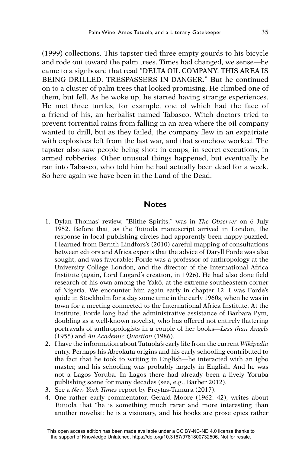(1999) collections. This tapster tied three empty gourds to his bicycle and rode out toward the palm trees. Times had changed, we sense—he came to a signboard that read "DELTA OIL COMPANY: THIS AREA IS BEING DRILLED. TRESPASSERS IN DANGER." But he continued on to a cluster of palm trees that looked promising. He climbed one of them, but fell. As he woke up, he started having strange experiences. He met three turtles, for example, one of which had the face of a friend of his, an herbalist named Tabasco. Witch doctors tried to prevent torrential rains from falling in an area where the oil company wanted to drill, but as they failed, the company flew in an expatriate with explosives left from the last war, and that somehow worked. The tapster also saw people being shot: in coups, in secret executions, in armed robberies. Other unusual things happened, but eventually he ran into Tabasco, who told him he had actually been dead for a week. So here again we have been in the Land of the Dead.

## **Notes**

- 1. Dylan Thomas' review, "Blithe Spirits," was in *The Observer* on 6 July 1952. Before that, as the Tutuola manuscript arrived in London, the response in local publishing circles had apparently been happy-puzzled. I learned from Bernth Lindfors's (2010) careful mapping of consultations between editors and Africa experts that the advice of Daryll Forde was also sought, and was favorable; Forde was a professor of anthropology at the University College London, and the director of the International Africa Institute (again, Lord Lugard's creation, in 1926). He had also done field research of his own among the Yakö, at the extreme southeastern corner of Nigeria. We encounter him again early in chapter 12. I was Forde's guide in Stockholm for a day some time in the early 1960s, when he was in town for a meeting connected to the International Africa Institute. At the Institute, Forde long had the administrative assistance of Barbara Pym, doubling as a well-known novelist, who has offered not entirely flattering portrayals of anthropologists in a couple of her books—*Less than Angels*  (1955) and *An Academic Question* (1986).
- 2. I have the information about Tutuola's early life from the current *Wikipedia*  entry. Perhaps his Abeokuta origins and his early schooling contributed to the fact that he took to writing in English—he interacted with an Igbo master, and his schooling was probably largely in English. And he was not a Lagos Yoruba. In Lagos there had already been a lively Yoruba publishing scene for many decades (see, e.g., Barber 2012).
- 3. See a *New York Times* report by Freytas-Tamura (2017).
- 4. One rather early commentator, Gerald Moore (1962: 42), writes about Tutuola that "he is something much rarer and more interesting than another novelist; he is a visionary, and his books are prose epics rather

This open access edition has been made available under a CC BY-NC-ND 4.0 license thanks to the support of Knowledge Unlatched. https://doi.org/10.3167/9781800732506. Not for resale.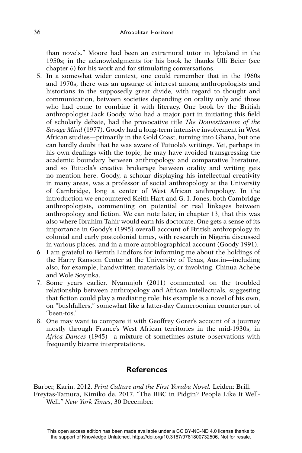than novels." Moore had been an extramural tutor in Igboland in the 1950s; in the acknowledgments for his book he thanks Ulli Beier (see chapter 6) for his work and for stimulating conversations.

- 5. In a somewhat wider context, one could remember that in the 1960s and 1970s, there was an upsurge of interest among anthropologists and historians in the supposedly great divide, with regard to thought and communication, between societies depending on orality only and those who had come to combine it with literacy. One book by the British anthropologist Jack Goody, who had a major part in initiating this field of scholarly debate, had the provocative title *The Domestication of the Savage Mind* (1977). Goody had a long-term intensive involvement in West African studies—primarily in the Gold Coast, turning into Ghana, but one can hardly doubt that he was aware of Tutuola's writings. Yet, perhaps in his own dealings with the topic, he may have avoided transgressing the academic boundary between anthropology and comparative literature, and so Tutuola's creative brokerage between orality and writing gets no mention here. Goody, a scholar displaying his intellectual creativity in many areas, was a professor of social anthropology at the University of Cambridge, long a center of West African anthropology. In the introduction we encountered Keith Hart and G. I. Jones, both Cambridge anthropologists, commenting on potential or real linkages between anthropology and fiction. We can note later, in chapter 13, that this was also where Ibrahim Tahir would earn his doctorate. One gets a sense of its importance in Goody's (1995) overall account of British anthropology in colonial and early postcolonial times, with research in Nigeria discussed in various places, and in a more autobiographical account (Goody 1991).
- 6. I am grateful to Bernth Lindfors for informing me about the holdings of the Harry Ransom Center at the University of Texas, Austin—including also, for example, handwritten materials by, or involving, Chinua Achebe and Wole Soyinka.
- 7. Some years earlier, Nyamnjoh (2011) commented on the troubled relationship between anthropology and African intellectuals, suggesting that fiction could play a mediating role; his example is a novel of his own, on "bushfallers," somewhat like a latter-day Cameroonian counterpart of "been-tos."
- 8. One may want to compare it with Geoffrey Gorer's account of a journey mostly through France's West African territories in the mid-1930s, in *Africa Dances* (1945)—a mixture of sometimes astute observations with frequently bizarre interpretations.

## **References**

Barber, Karin. 2012. *Print Culture and the First Yoruba Novel.* Leiden: Brill. Freytas-Tamura, Kimiko de. 2017. "The BBC in Pidgin? People Like It Well-Well." *New York Times*, 30 December.